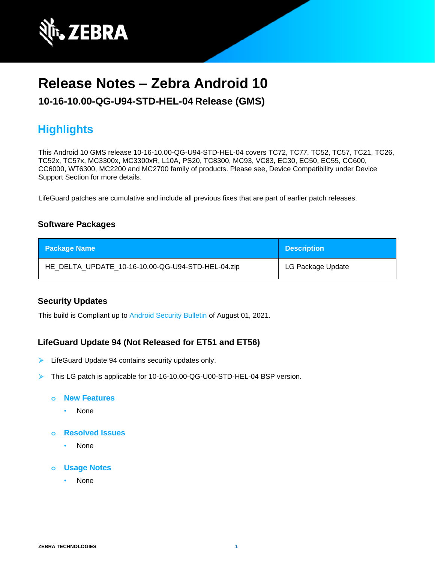

# **Release Notes – Zebra Android 10**

**10-16-10.00-QG-U94-STD-HEL-04 Release (GMS)**

# **Highlights**

This Android 10 GMS release 10-16-10.00-QG-U94-STD-HEL-04 covers TC72, TC77, TC52, TC57, TC21, TC26, TC52x, TC57x, MC3300x, MC3300xR, L10A, PS20, TC8300, MC93, VC83, EC30, EC50, EC55, CC600, CC6000, WT6300, MC2200 and MC2700 family of products. Please see, Device Compatibility under Device Support Section for more details.

LifeGuard patches are cumulative and include all previous fixes that are part of earlier patch releases.

## **Software Packages**

| <b>Package Name</b>                               | <b>Description</b> |
|---------------------------------------------------|--------------------|
| HE_DELTA_UPDATE_10-16-10.00-QG-U94-STD-HEL-04.zip | LG Package Update  |

### **Security Updates**

This build is Compliant up to [Android Security Bulletin](https://source.android.com/security/bulletin/) of August 01, 2021.

## **LifeGuard Update 94 (Not Released for ET51 and ET56)**

- ➢ LifeGuard Update 94 contains security updates only.
- ➢ This LG patch is applicable for 10-16-10.00-QG-U00-STD-HEL-04 BSP version.

#### **o New Features**

- None
- **o Resolved Issues**
	- None
- **o Usage Notes**
	- None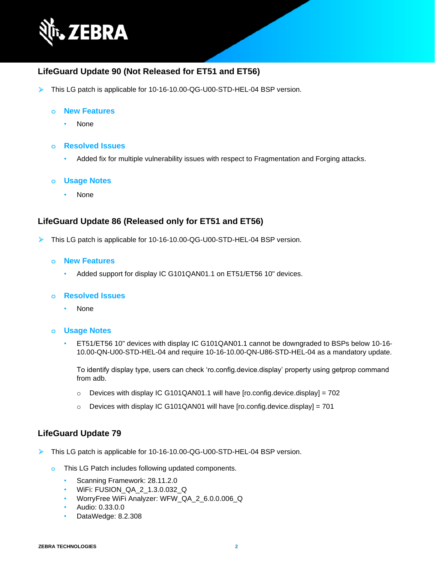

## **LifeGuard Update 90 (Not Released for ET51 and ET56)**

➢ This LG patch is applicable for 10-16-10.00-QG-U00-STD-HEL-04 BSP version.

#### **o New Features**

• None

#### **o Resolved Issues**

• Added fix for multiple vulnerability issues with respect to Fragmentation and Forging attacks.

#### **o Usage Notes**

• None

### **LifeGuard Update 86 (Released only for ET51 and ET56)**

- ➢ This LG patch is applicable for 10-16-10.00-QG-U00-STD-HEL-04 BSP version.
	- **o New Features**
		- Added support for display IC G101QAN01.1 on ET51/ET56 10" devices.

#### **o Resolved Issues**

• None

#### **o Usage Notes**

• ET51/ET56 10" devices with display IC G101QAN01.1 cannot be downgraded to BSPs below 10-16- 10.00-QN-U00-STD-HEL-04 and require 10-16-10.00-QN-U86-STD-HEL-04 as a mandatory update.

To identify display type, users can check 'ro.config.device.display' property using getprop command from adb.

- $\circ$  Devices with display IC G101QAN01.1 will have [ro.config.device.display] = 702
- $\circ$  Devices with display IC G101QAN01 will have [ro.config.device.display] = 701

#### **LifeGuard Update 79**

- ➢ This LG patch is applicable for 10-16-10.00-QG-U00-STD-HEL-04 BSP version.
	- **o** This LG Patch includes following updated components.
		- Scanning Framework: 28.11.2.0
		- WiFi: FUSION\_QA\_2\_1.3.0.032\_Q
		- WorryFree WiFi Analyzer: WFW\_QA\_2\_6.0.0.006\_Q
		- Audio: 0.33.0.0
		- DataWedge: 8.2.308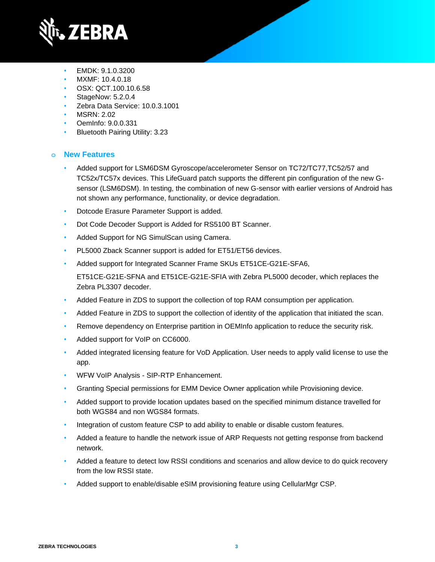

- EMDK: 9.1.0.3200
- MXMF: 10.4.0.18
- OSX: QCT.100.10.6.58
- StageNow: 5.2.0.4
- Zebra Data Service: 10.0.3.1001
- MSRN: 2.02
- OemInfo: 9.0.0.331
- Bluetooth Pairing Utility: 3.23

## **o New Features**

- Added support for LSM6DSM Gyroscope/accelerometer Sensor on TC72/TC77,TC52/57 and TC52x/TC57x devices. This LifeGuard patch supports the different pin configuration of the new Gsensor (LSM6DSM). In testing, the combination of new G-sensor with earlier versions of Android has not shown any performance, functionality, or device degradation.
- Dotcode Erasure Parameter Support is added.
- Dot Code Decoder Support is Added for RS5100 BT Scanner.
- Added Support for NG SimulScan using Camera.
- PL5000 Zback Scanner support is added for ET51/ET56 devices.
- Added support for Integrated Scanner Frame SKUs ET51CE-G21E-SFA6,

ET51CE-G21E-SFNA and ET51CE-G21E-SFIA with Zebra PL5000 decoder, which replaces the Zebra PL3307 decoder.

- Added Feature in ZDS to support the collection of top RAM consumption per application.
- Added Feature in ZDS to support the collection of identity of the application that initiated the scan.
- Remove dependency on Enterprise partition in OEMInfo application to reduce the security risk.
- Added support for VoIP on CC6000.
- Added integrated licensing feature for VoD Application. User needs to apply valid license to use the app.
- WFW VoIP Analysis SIP-RTP Enhancement.
- Granting Special permissions for EMM Device Owner application while Provisioning device.
- Added support to provide location updates based on the specified minimum distance travelled for both WGS84 and non WGS84 formats.
- Integration of custom feature CSP to add ability to enable or disable custom features.
- Added a feature to handle the network issue of ARP Requests not getting response from backend network.
- Added a feature to detect low RSSI conditions and scenarios and allow device to do quick recovery from the low RSSI state.
- Added support to enable/disable eSIM provisioning feature using CellularMgr CSP.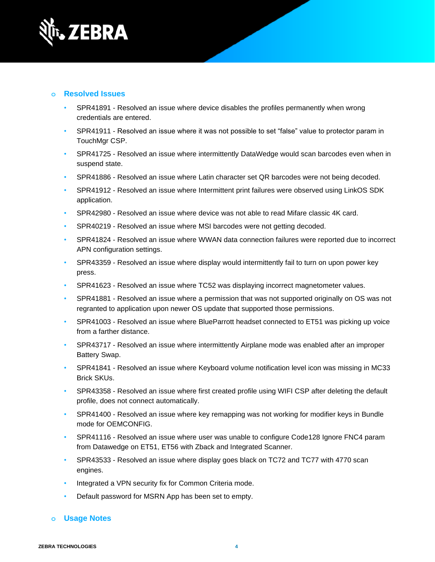

### **o Resolved Issues**

- SPR41891 Resolved an issue where device disables the profiles permanently when wrong credentials are entered.
- SPR41911 Resolved an issue where it was not possible to set "false" value to protector param in TouchMgr CSP.
- SPR41725 Resolved an issue where intermittently DataWedge would scan barcodes even when in suspend state.
- SPR41886 Resolved an issue where Latin character set QR barcodes were not being decoded.
- SPR41912 Resolved an issue where Intermittent print failures were observed using LinkOS SDK application.
- SPR42980 Resolved an issue where device was not able to read Mifare classic 4K card.
- SPR40219 Resolved an issue where MSI barcodes were not getting decoded.
- SPR41824 Resolved an issue where WWAN data connection failures were reported due to incorrect APN configuration settings.
- SPR43359 Resolved an issue where display would intermittently fail to turn on upon power key press.
- SPR41623 Resolved an issue where TC52 was displaying incorrect magnetometer values.
- SPR41881 Resolved an issue where a permission that was not supported originally on OS was not regranted to application upon newer OS update that supported those permissions.
- SPR41003 Resolved an issue where BlueParrott headset connected to ET51 was picking up voice from a farther distance.
- SPR43717 Resolved an issue where intermittently Airplane mode was enabled after an improper Battery Swap.
- SPR41841 Resolved an issue where Keyboard volume notification level icon was missing in MC33 Brick SKUs.
- SPR43358 Resolved an issue where first created profile using WIFI CSP after deleting the default profile, does not connect automatically.
- SPR41400 Resolved an issue where key remapping was not working for modifier keys in Bundle mode for OEMCONFIG.
- SPR41116 Resolved an issue where user was unable to configure Code128 Ignore FNC4 param from Datawedge on ET51, ET56 with Zback and Integrated Scanner.
- SPR43533 Resolved an issue where display goes black on TC72 and TC77 with 4770 scan engines.
- Integrated a VPN security fix for Common Criteria mode.
- Default password for MSRN App has been set to empty.

### **o Usage Notes**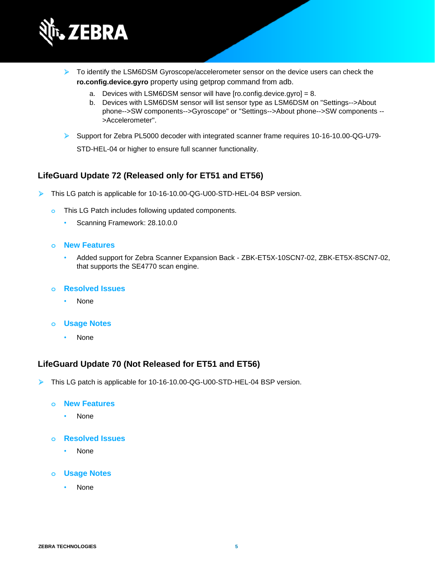

- ➢ To identify the LSM6DSM Gyroscope/accelerometer sensor on the device users can check the **ro.config.device.gyro** property using getprop command from adb.
	- a. Devices with LSM6DSM sensor will have [ro.config.device.gyro] = 8.
	- b. Devices with LSM6DSM sensor will list sensor type as LSM6DSM on "Settings-->About phone-->SW components-->Gyroscope" or "Settings-->About phone-->SW components -- >Accelerometer".
- ➢ Support for Zebra PL5000 decoder with integrated scanner frame requires 10-16-10.00-QG-U79-

STD-HEL-04 or higher to ensure full scanner functionality.

### **LifeGuard Update 72 (Released only for ET51 and ET56)**

- ➢ This LG patch is applicable for 10-16-10.00-QG-U00-STD-HEL-04 BSP version.
	- **o** This LG Patch includes following updated components.
		- Scanning Framework: 28.10.0.0
	- **o New Features**
		- Added support for Zebra Scanner Expansion Back ZBK-ET5X-10SCN7-02, ZBK-ET5X-8SCN7-02, that supports the SE4770 scan engine.
	- **o Resolved Issues**
		- None
	- **o Usage Notes**
		- None

#### **LifeGuard Update 70 (Not Released for ET51 and ET56)**

➢ This LG patch is applicable for 10-16-10.00-QG-U00-STD-HEL-04 BSP version.

#### **o New Features**

- None
- **o Resolved Issues**
	- None
- **o Usage Notes**
	- **None**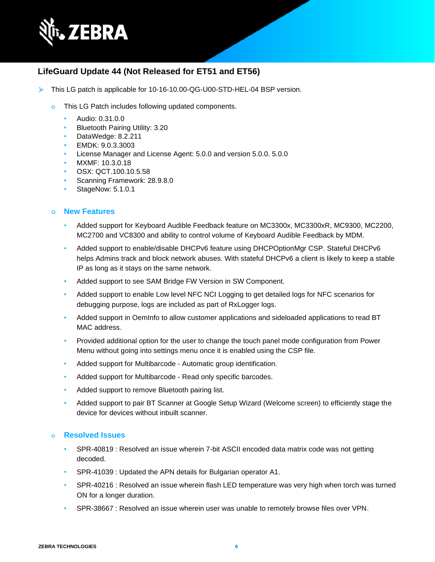

## **LifeGuard Update 44 (Not Released for ET51 and ET56)**

- ➢ This LG patch is applicable for 10-16-10.00-QG-U00-STD-HEL-04 BSP version.
	- **o** This LG Patch includes following updated components.
		- Audio: 0.31.0.0
		- Bluetooth Pairing Utility: 3.20
		- DataWedge: 8.2.211
		- EMDK: 9.0.3.3003
		- License Manager and License Agent: 5.0.0 and version 5.0.0. 5.0.0
		- MXMF: 10.3.0.18
		- OSX: QCT.100.10.5.58
		- Scanning Framework: 28.9.8.0
		- StageNow: 5.1.0.1

#### **o New Features**

- Added support for Keyboard Audible Feedback feature on MC3300x, MC3300xR, MC9300, MC2200, MC2700 and VC8300 and ability to control volume of Keyboard Audible Feedback by MDM.
- Added support to enable/disable DHCPv6 feature using DHCPOptionMgr CSP. Stateful DHCPv6 helps Admins track and block network abuses. With stateful DHCPv6 a client is likely to keep a stable IP as long as it stays on the same network.
- Added support to see SAM Bridge FW Version in SW Component.
- Added support to enable Low level NFC NCI Logging to get detailed logs for NFC scenarios for debugging purpose, logs are included as part of RxLogger logs.
- Added support in OemInfo to allow customer applications and sideloaded applications to read BT MAC address.
- Provided additional option for the user to change the touch panel mode configuration from Power Menu without going into settings menu once it is enabled using the CSP file.
- Added support for Multibarcode Automatic group identification.
- Added support for Multibarcode Read only specific barcodes.
- Added support to remove Bluetooth pairing list.
- Added support to pair BT Scanner at Google Setup Wizard (Welcome screen) to efficiently stage the device for devices without inbuilt scanner.

#### **o Resolved Issues**

- SPR-40819 : Resolved an issue wherein 7-bit ASCII encoded data matrix code was not getting decoded.
- SPR-41039 : Updated the APN details for Bulgarian operator A1.
- SPR-40216 : Resolved an issue wherein flash LED temperature was very high when torch was turned ON for a longer duration.
- SPR-38667 : Resolved an issue wherein user was unable to remotely browse files over VPN.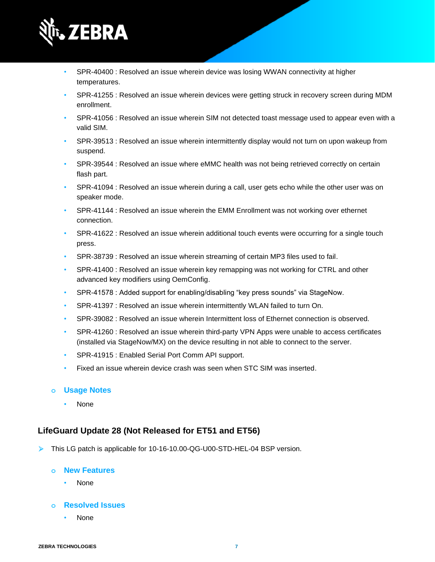

- SPR-40400 : Resolved an issue wherein device was losing WWAN connectivity at higher temperatures.
- SPR-41255 : Resolved an issue wherein devices were getting struck in recovery screen during MDM enrollment.
- SPR-41056 : Resolved an issue wherein SIM not detected toast message used to appear even with a valid SIM.
- SPR-39513 : Resolved an issue wherein intermittently display would not turn on upon wakeup from suspend.
- SPR-39544 : Resolved an issue where eMMC health was not being retrieved correctly on certain flash part.
- SPR-41094 : Resolved an issue wherein during a call, user gets echo while the other user was on speaker mode.
- SPR-41144 : Resolved an issue wherein the EMM Enrollment was not working over ethernet connection.
- SPR-41622 : Resolved an issue wherein additional touch events were occurring for a single touch press.
- SPR-38739 : Resolved an issue wherein streaming of certain MP3 files used to fail.
- SPR-41400 : Resolved an issue wherein key remapping was not working for CTRL and other advanced key modifiers using OemConfig.
- SPR-41578 : Added support for enabling/disabling "key press sounds" via StageNow.
- SPR-41397 : Resolved an issue wherein intermittently WLAN failed to turn On.
- SPR-39082 : Resolved an issue wherein Intermittent loss of Ethernet connection is observed.
- SPR-41260 : Resolved an issue wherein third-party VPN Apps were unable to access certificates (installed via StageNow/MX) on the device resulting in not able to connect to the server.
- SPR-41915 : Enabled Serial Port Comm API support.
- Fixed an issue wherein device crash was seen when STC SIM was inserted.

### **o Usage Notes**

• None

# **LifeGuard Update 28 (Not Released for ET51 and ET56)**

➢ This LG patch is applicable for 10-16-10.00-QG-U00-STD-HEL-04 BSP version.

### **o New Features**

• None

## **o Resolved Issues**

• None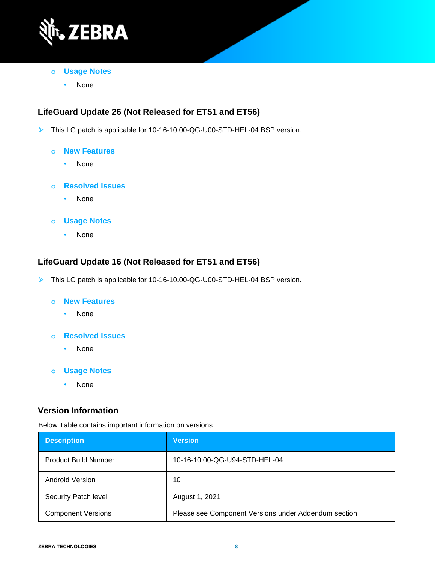

- **o Usage Notes**
	- None

# **LifeGuard Update 26 (Not Released for ET51 and ET56)**

- ➢ This LG patch is applicable for 10-16-10.00-QG-U00-STD-HEL-04 BSP version.
	- **o New Features**
		- None
	- **o Resolved Issues**
		- None
	- **o Usage Notes**
		- None

# **LifeGuard Update 16 (Not Released for ET51 and ET56)**

- ➢ This LG patch is applicable for 10-16-10.00-QG-U00-STD-HEL-04 BSP version.
	- **o New Features**
		- None
	- **o Resolved Issues**
		- None
	- **o Usage Notes**
		- None

# **Version Information**

Below Table contains important information on versions

| <b>Description</b>          | <b>Version</b>                                       |
|-----------------------------|------------------------------------------------------|
| <b>Product Build Number</b> | 10-16-10.00-QG-U94-STD-HEL-04                        |
| <b>Android Version</b>      | 10                                                   |
| Security Patch level        | August 1, 2021                                       |
| <b>Component Versions</b>   | Please see Component Versions under Addendum section |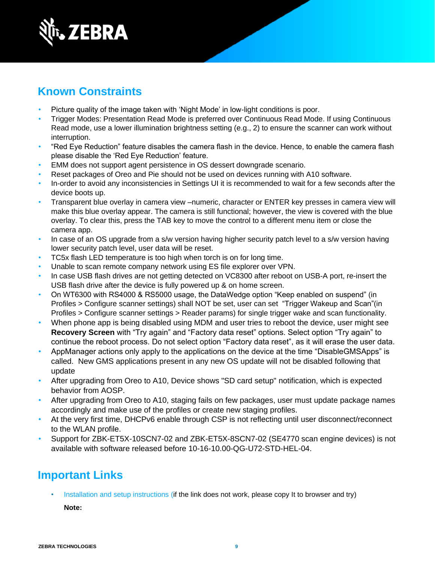

# **Known Constraints**

- Picture quality of the image taken with 'Night Mode' in low-light conditions is poor.
- Trigger Modes: Presentation Read Mode is preferred over Continuous Read Mode. If using Continuous Read mode, use a lower illumination brightness setting (e.g., 2) to ensure the scanner can work without interruption.
- "Red Eye Reduction" feature disables the camera flash in the device. Hence, to enable the camera flash please disable the 'Red Eye Reduction' feature.
- EMM does not support agent persistence in OS dessert downgrade scenario.
- Reset packages of Oreo and Pie should not be used on devices running with A10 software.
- In-order to avoid any inconsistencies in Settings UI it is recommended to wait for a few seconds after the device boots up.
- Transparent blue overlay in camera view –numeric, character or ENTER key presses in camera view will make this blue overlay appear. The camera is still functional; however, the view is covered with the blue overlay. To clear this, press the TAB key to move the control to a different menu item or close the camera app.
- In case of an OS upgrade from a s/w version having higher security patch level to a s/w version having lower security patch level, user data will be reset.
- TC5x flash LED temperature is too high when torch is on for long time.
- Unable to scan remote company network using ES file explorer over VPN.
- In case USB flash drives are not getting detected on VC8300 after reboot on USB-A port, re-insert the USB flash drive after the device is fully powered up & on home screen.
- On WT6300 with RS4000 & RS5000 usage, the DataWedge option "Keep enabled on suspend" (in Profiles > Configure scanner settings) shall NOT be set, user can set "Trigger Wakeup and Scan"(in Profiles > Configure scanner settings > Reader params) for single trigger wake and scan functionality.
- When phone app is being disabled using MDM and user tries to reboot the device, user might see **Recovery Screen** with "Try again" and "Factory data reset" options. Select option "Try again" to continue the reboot process. Do not select option "Factory data reset", as it will erase the user data.
- AppManager actions only apply to the applications on the device at the time "DisableGMSApps" is called. New GMS applications present in any new OS update will not be disabled following that update
- After upgrading from Oreo to A10, Device shows "SD card setup" notification, which is expected behavior from AOSP.
- After upgrading from Oreo to A10, staging fails on few packages, user must update package names accordingly and make use of the profiles or create new staging profiles.
- At the very first time, DHCPv6 enable through CSP is not reflecting until user disconnect/reconnect to the WLAN profile.
- Support for ZBK-ET5X-10SCN7-02 and ZBK-ET5X-8SCN7-02 (SE4770 scan engine devices) is not available with software released before 10-16-10.00-QG-U72-STD-HEL-04.

# **Important Links**

[Installation and setup instructions](https://www.zebra.com/content/dam/zebra_new_ia/en-us/software/operating-system/helios/a10-os-update-instructions.pdf) (if the link does not work, please copy It to browser and try)

**Note:**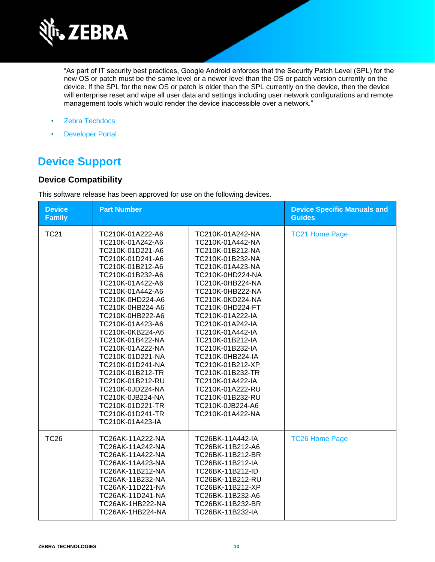

"As part of IT security best practices, Google Android enforces that the Security Patch Level (SPL) for the new OS or patch must be the same level or a newer level than the OS or patch version currently on the device. If the SPL for the new OS or patch is older than the SPL currently on the device, then the device will enterprise reset and wipe all user data and settings including user network configurations and remote management tools which would render the device inaccessible over a network."

- [Zebra Techdocs](http://techdocs.zebra.com/)
- [Developer Portal](http://developer.zebra.com/)

# **Device Support**

## **Device Compatibility**

This software release has been approved for use on the following devices.

| <b>Device</b><br><b>Family</b> | <b>Part Number</b>                                                                                                                                                                                                                                                                                                                                                                                                                                                                           |                                                                                                                                                                                                                                                                                                                                                                                                                                                                          | <b>Device Specific Manuals and</b><br><b>Guides</b> |
|--------------------------------|----------------------------------------------------------------------------------------------------------------------------------------------------------------------------------------------------------------------------------------------------------------------------------------------------------------------------------------------------------------------------------------------------------------------------------------------------------------------------------------------|--------------------------------------------------------------------------------------------------------------------------------------------------------------------------------------------------------------------------------------------------------------------------------------------------------------------------------------------------------------------------------------------------------------------------------------------------------------------------|-----------------------------------------------------|
| <b>TC21</b>                    | TC210K-01A222-A6<br>TC210K-01A242-A6<br>TC210K-01D221-A6<br>TC210K-01D241-A6<br>TC210K-01B212-A6<br>TC210K-01B232-A6<br>TC210K-01A422-A6<br>TC210K-01A442-A6<br>TC210K-0HD224-A6<br>TC210K-0HB224-A6<br>TC210K-0HB222-A6<br>TC210K-01A423-A6<br>TC210K-0KB224-A6<br>TC210K-01B422-NA<br>TC210K-01A222-NA<br>TC210K-01D221-NA<br>TC210K-01D241-NA<br>TC210K-01B212-TR<br>TC210K-01B212-RU<br>TC210K-0JD224-NA<br>TC210K-0JB224-NA<br>TC210K-01D221-TR<br>TC210K-01D241-TR<br>TC210K-01A423-IA | TC210K-01A242-NA<br>TC210K-01A442-NA<br>TC210K-01B212-NA<br>TC210K-01B232-NA<br>TC210K-01A423-NA<br>TC210K-0HD224-NA<br>TC210K-0HB224-NA<br>TC210K-0HB222-NA<br>TC210K-0KD224-NA<br>TC210K-0HD224-FT<br>TC210K-01A222-IA<br>TC210K-01A242-IA<br>TC210K-01A442-IA<br>TC210K-01B212-IA<br>TC210K-01B232-IA<br>TC210K-0HB224-IA<br>TC210K-01B212-XP<br>TC210K-01B232-TR<br>TC210K-01A422-IA<br>TC210K-01A222-RU<br>TC210K-01B232-RU<br>TC210K-0JB224-A6<br>TC210K-01A422-NA | <b>TC21 Home Page</b>                               |
| <b>TC26</b>                    | TC26AK-11A222-NA<br>TC26AK-11A242-NA<br>TC26AK-11A422-NA<br>TC26AK-11A423-NA<br>TC26AK-11B212-NA<br>TC26AK-11B232-NA<br>TC26AK-11D221-NA<br>TC26AK-11D241-NA<br>TC26AK-1HB222-NA<br>TC26AK-1HB224-NA                                                                                                                                                                                                                                                                                         | TC26BK-11A442-IA<br>TC26BK-11B212-A6<br>TC26BK-11B212-BR<br>TC26BK-11B212-IA<br>TC26BK-11B212-ID<br>TC26BK-11B212-RU<br>TC26BK-11B212-XP<br>TC26BK-11B232-A6<br>TC26BK-11B232-BR<br>TC26BK-11B232-IA                                                                                                                                                                                                                                                                     | <b>TC26 Home Page</b>                               |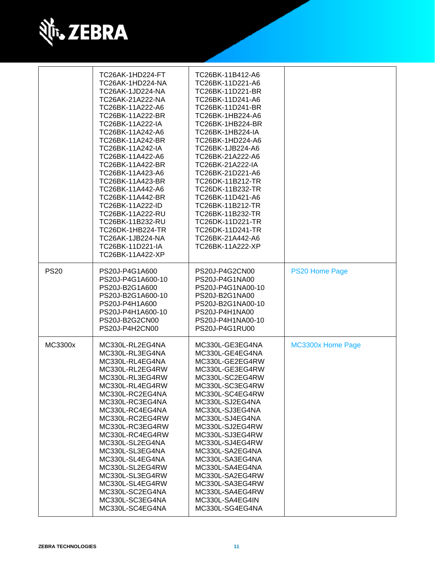

|             | TC26AK-1HD224-FT<br>TC26AK-1HD224-NA<br>TC26AK-1JD224-NA<br>TC26AK-21A222-NA<br>TC26BK-11A222-A6<br>TC26BK-11A222-BR<br>TC26BK-11A222-IA<br>TC26BK-11A242-A6<br>TC26BK-11A242-BR<br>TC26BK-11A242-IA<br>TC26BK-11A422-A6<br>TC26BK-11A422-BR<br>TC26BK-11A423-A6<br>TC26BK-11A423-BR<br>TC26BK-11A442-A6<br>TC26BK-11A442-BR<br>TC26BK-11A222-ID<br>TC26BK-11A222-RU<br>TC26BK-11B232-RU<br>TC26DK-1HB224-TR<br>TC26AK-1JB224-NA<br>TC26BK-11D221-IA<br>TC26BK-11A422-XP | TC26BK-11B412-A6<br>TC26BK-11D221-A6<br>TC26BK-11D221-BR<br>TC26BK-11D241-A6<br>TC26BK-11D241-BR<br>TC26BK-1HB224-A6<br>TC26BK-1HB224-BR<br><b>TC26BK-1HB224-IA</b><br>TC26BK-1HD224-A6<br>TC26BK-1JB224-A6<br>TC26BK-21A222-A6<br>TC26BK-21A222-IA<br>TC26BK-21D221-A6<br>TC26DK-11B212-TR<br>TC26DK-11B232-TR<br>TC26BK-11D421-A6<br>TC26BK-11B212-TR<br>TC26BK-11B232-TR<br>TC26DK-11D221-TR<br>TC26DK-11D241-TR<br>TC26BK-21A442-A6<br>TC26BK-11A222-XP |                   |
|-------------|--------------------------------------------------------------------------------------------------------------------------------------------------------------------------------------------------------------------------------------------------------------------------------------------------------------------------------------------------------------------------------------------------------------------------------------------------------------------------|-------------------------------------------------------------------------------------------------------------------------------------------------------------------------------------------------------------------------------------------------------------------------------------------------------------------------------------------------------------------------------------------------------------------------------------------------------------|-------------------|
| <b>PS20</b> | PS20J-P4G1A600<br>PS20J-P4G1A600-10<br>PS20J-B2G1A600<br>PS20J-B2G1A600-10<br>PS20J-P4H1A600<br>PS20J-P4H1A600-10<br>PS20J-B2G2CN00<br>PS20J-P4H2CN00                                                                                                                                                                                                                                                                                                                    | PS20J-P4G2CN00<br>PS20J-P4G1NA00<br>PS20J-P4G1NA00-10<br>PS20J-B2G1NA00<br>PS20J-B2G1NA00-10<br>PS20J-P4H1NA00<br>PS20J-P4H1NA00-10<br>PS20J-P4G1RU00                                                                                                                                                                                                                                                                                                       | PS20 Home Page    |
| MC3300x     | MC330L-RL2EG4NA<br>MC330L-RL3EG4NA<br>MC330L-RL4EG4NA<br>MC330L-RL2EG4RW<br>MC330L-RL3EG4RW<br>MC330L-RL4EG4RW<br>MC330L-RC2EG4NA<br>MC330L-RC3EG4NA<br>MC330L-RC4EG4NA<br>MC330L-RC2EG4RW<br>MC330L-RC3EG4RW<br>MC330L-RC4EG4RW<br>MC330L-SL2EG4NA<br>MC330L-SL3EG4NA<br>MC330L-SL4EG4NA<br>MC330L-SL2EG4RW<br>MC330L-SL3EG4RW<br>MC330L-SL4EG4RW<br>MC330L-SC2EG4NA<br>MC330L-SC3EG4NA<br>MC330L-SC4EG4NA                                                              | MC330L-GE3EG4NA<br>MC330L-GE4EG4NA<br>MC330L-GE2EG4RW<br>MC330L-GE3EG4RW<br>MC330L-SC2EG4RW<br>MC330L-SC3EG4RW<br>MC330L-SC4EG4RW<br>MC330L-SJ2EG4NA<br>MC330L-SJ3EG4NA<br>MC330L-SJ4EG4NA<br>MC330L-SJ2EG4RW<br>MC330L-SJ3EG4RW<br>MC330L-SJ4EG4RW<br>MC330L-SA2EG4NA<br>MC330L-SA3EG4NA<br>MC330L-SA4EG4NA<br>MC330L-SA2EG4RW<br>MC330L-SA3EG4RW<br>MC330L-SA4EG4RW<br>MC330L-SA4EG4IN<br>MC330L-SG4EG4NA                                                 | MC3300x Home Page |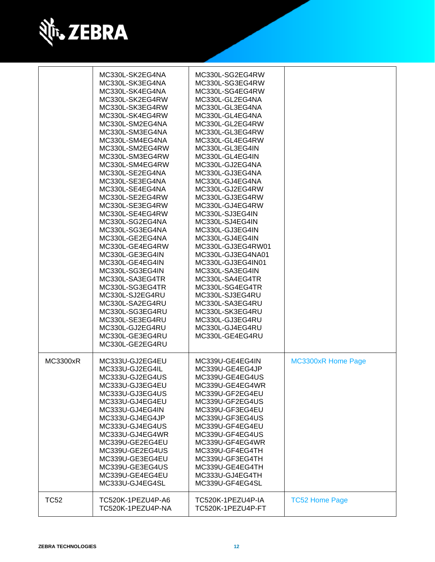

|             | MC330L-SK2EG4NA<br>MC330L-SK3EG4NA<br>MC330L-SK4EG4NA<br>MC330L-SK2EG4RW<br>MC330L-SK3EG4RW<br>MC330L-SK4EG4RW<br>MC330L-SM2EG4NA<br>MC330L-SM3EG4NA<br>MC330L-SM4EG4NA<br>MC330L-SM2EG4RW<br>MC330L-SM3EG4RW<br>MC330L-SM4EG4RW<br>MC330L-SE2EG4NA<br>MC330L-SE3EG4NA<br>MC330L-SE4EG4NA<br>MC330L-SE2EG4RW<br>MC330L-SE3EG4RW<br>MC330L-SE4EG4RW<br>MC330L-SG2EG4NA<br>MC330L-SG3EG4NA<br>MC330L-GE2EG4NA<br>MC330L-GE4EG4RW<br>MC330L-GE3EG4IN<br>MC330L-GE4EG4IN<br>MC330L-SG3EG4IN<br>MC330L-SA3EG4TR<br>MC330L-SG3EG4TR<br>MC330L-SJ2EG4RU<br>MC330L-SA2EG4RU<br>MC330L-SG3EG4RU<br>MC330L-SE3EG4RU<br>MC330L-GJ2EG4RU<br>MC330L-GE3EG4RU<br>MC330L-GE2EG4RU | MC330L-SG2EG4RW<br>MC330L-SG3EG4RW<br>MC330L-SG4EG4RW<br>MC330L-GL2EG4NA<br>MC330L-GL3EG4NA<br>MC330L-GL4EG4NA<br>MC330L-GL2EG4RW<br>MC330L-GL3EG4RW<br>MC330L-GL4EG4RW<br>MC330L-GL3EG4IN<br>MC330L-GL4EG4IN<br>MC330L-GJ2EG4NA<br>MC330L-GJ3EG4NA<br>MC330L-GJ4EG4NA<br>MC330L-GJ2EG4RW<br>MC330L-GJ3EG4RW<br>MC330L-GJ4EG4RW<br>MC330L-SJ3EG4IN<br>MC330L-SJ4EG4IN<br>MC330L-GJ3EG4IN<br>MC330L-GJ4EG4IN<br>MC330L-GJ3EG4RW01<br>MC330L-GJ3EG4NA01<br>MC330L-GJ3EG4IN01<br>MC330L-SA3EG4IN<br>MC330L-SA4EG4TR<br>MC330L-SG4EG4TR<br>MC330L-SJ3EG4RU<br>MC330L-SA3EG4RU<br>MC330L-SK3EG4RU<br>MC330L-GJ3EG4RU<br>MC330L-GJ4EG4RU<br>MC330L-GE4EG4RU |                           |
|-------------|--------------------------------------------------------------------------------------------------------------------------------------------------------------------------------------------------------------------------------------------------------------------------------------------------------------------------------------------------------------------------------------------------------------------------------------------------------------------------------------------------------------------------------------------------------------------------------------------------------------------------------------------------------------------|-------------------------------------------------------------------------------------------------------------------------------------------------------------------------------------------------------------------------------------------------------------------------------------------------------------------------------------------------------------------------------------------------------------------------------------------------------------------------------------------------------------------------------------------------------------------------------------------------------------------------------------------------------|---------------------------|
| MC3300xR    | MC333U-GJ2EG4EU<br>MC333U-GJ2EG4IL<br>MC333U-GJ2EG4US<br>MC333U-GJ3EG4EU<br>MC333U-GJ3EG4US<br>MC333U-GJ4EG4EU<br>MC333U-GJ4EG4IN<br>MC333U-GJ4EG4JP<br>MC333U-GJ4EG4US<br>MC333U-GJ4EG4WR<br>MC339U-GE2EG4EU<br>MC339U-GE2EG4US<br>MC339U-GE3EG4EU<br>MC339U-GE3EG4US<br>MC339U-GE4EG4EU<br>MC333U-GJ4EG4SL                                                                                                                                                                                                                                                                                                                                                       | MC339U-GE4EG4IN<br>MC339U-GE4EG4JP<br>MC339U-GE4EG4US<br>MC339U-GE4EG4WR<br>MC339U-GF2EG4EU<br>MC339U-GF2EG4US<br>MC339U-GF3EG4EU<br>MC339U-GF3EG4US<br>MC339U-GF4EG4EU<br>MC339U-GF4EG4US<br>MC339U-GF4EG4WR<br>MC339U-GF4EG4TH<br>MC339U-GF3EG4TH<br>MC339U-GE4EG4TH<br>MC333U-GJ4EG4TH<br>MC339U-GF4EG4SL                                                                                                                                                                                                                                                                                                                                          | <b>MC3300xR Home Page</b> |
| <b>TC52</b> | TC520K-1PEZU4P-A6<br>TC520K-1PEZU4P-NA                                                                                                                                                                                                                                                                                                                                                                                                                                                                                                                                                                                                                             | TC520K-1PEZU4P-IA<br>TC520K-1PEZU4P-FT                                                                                                                                                                                                                                                                                                                                                                                                                                                                                                                                                                                                                | <b>TC52 Home Page</b>     |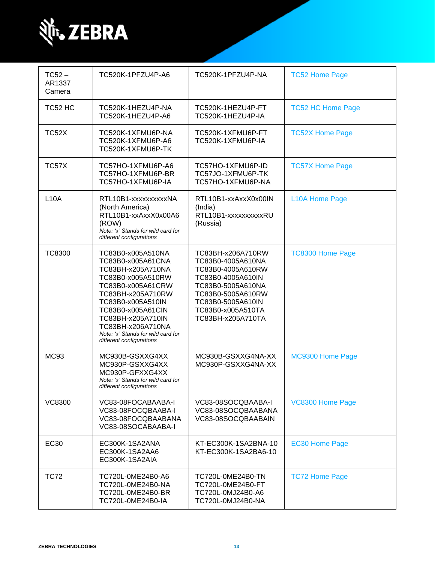

| $TC52 -$<br>AR1337<br>Camera | TC520K-1PFZU4P-A6                                                                                                                                                                                                                                                                | TC520K-1PFZU4P-NA                                                                                                                                                                         | <b>TC52 Home Page</b>    |
|------------------------------|----------------------------------------------------------------------------------------------------------------------------------------------------------------------------------------------------------------------------------------------------------------------------------|-------------------------------------------------------------------------------------------------------------------------------------------------------------------------------------------|--------------------------|
| TC52 HC                      | TC520K-1HEZU4P-NA<br>TC520K-1HEZU4P-A6                                                                                                                                                                                                                                           | TC520K-1HEZU4P-FT<br>TC520K-1HEZU4P-IA                                                                                                                                                    | <b>TC52 HC Home Page</b> |
| TC52X                        | TC520K-1XFMU6P-NA<br>TC520K-1XFMU6P-A6<br>TC520K-1XFMU6P-TK                                                                                                                                                                                                                      | TC520K-1XFMU6P-FT<br>TC520K-1XFMU6P-IA                                                                                                                                                    | <b>TC52X Home Page</b>   |
| TC57X                        | TC57HO-1XFMU6P-A6<br>TC57HO-1XFMU6P-BR<br>TC57HO-1XFMU6P-IA                                                                                                                                                                                                                      | TC57HO-1XFMU6P-ID<br>TC57JO-1XFMU6P-TK<br>TC57HO-1XFMU6P-NA                                                                                                                               | <b>TC57X Home Page</b>   |
| <b>L10A</b>                  | RTL10B1-xxxxxxxxxxNA<br>(North America)<br>RTL10B1-xxAxxX0x00A6<br>(ROW)<br>Note: 'x' Stands for wild card for<br>different configurations                                                                                                                                       | RTL10B1-xxAxxX0x00IN<br>(India)<br>RTL10B1-xxxxxxxxxRU<br>(Russia)                                                                                                                        | L10A Home Page           |
| <b>TC8300</b>                | TC83B0-x005A510NA<br>TC83B0-x005A61CNA<br>TC83BH-x205A710NA<br>TC83B0-x005A510RW<br>TC83B0-x005A61CRW<br>TC83BH-x205A710RW<br>TC83B0-x005A510IN<br>TC83B0-x005A61CIN<br>TC83BH-x205A710IN<br>TC83BH-x206A710NA<br>Note: 'x' Stands for wild card for<br>different configurations | TC83BH-x206A710RW<br>TC83B0-4005A610NA<br>TC83B0-4005A610RW<br>TC83B0-4005A610IN<br>TC83B0-5005A610NA<br>TC83B0-5005A610RW<br>TC83B0-5005A610IN<br>TC83B0-x005A510TA<br>TC83BH-x205A710TA | <b>TC8300 Home Page</b>  |
| <b>MC93</b>                  | MC930B-GSXXG4XX<br>MC930P-GSXXG4XX<br>MC930P-GFXXG4XX<br>Note: 'x' Stands for wild card for<br>different configurations                                                                                                                                                          | MC930B-GSXXG4NA-XX<br>MC930P-GSXXG4NA-XX                                                                                                                                                  | MC9300 Home Page         |
| <b>VC8300</b>                | VC83-08FOCABAABA-I<br>VC83-08FOCQBAABA-I<br>VC83-08FOCQBAABANA<br>VC83-08SOCABAABA-I                                                                                                                                                                                             | VC83-08SOCQBAABA-I<br>VC83-08SOCQBAABANA<br>VC83-08SOCQBAABAIN                                                                                                                            | VC8300 Home Page         |
| <b>EC30</b>                  | EC300K-1SA2ANA<br>EC300K-1SA2AA6<br>EC300K-1SA2AIA                                                                                                                                                                                                                               | KT-EC300K-1SA2BNA-10<br>KT-EC300K-1SA2BA6-10                                                                                                                                              | <b>EC30 Home Page</b>    |
| <b>TC72</b>                  | TC720L-0ME24B0-A6<br>TC720L-0ME24B0-NA<br>TC720L-0ME24B0-BR<br>TC720L-0ME24B0-IA                                                                                                                                                                                                 | TC720L-0ME24B0-TN<br>TC720L-0ME24B0-FT<br>TC720L-0MJ24B0-A6<br>TC720L-0MJ24B0-NA                                                                                                          | <b>TC72 Home Page</b>    |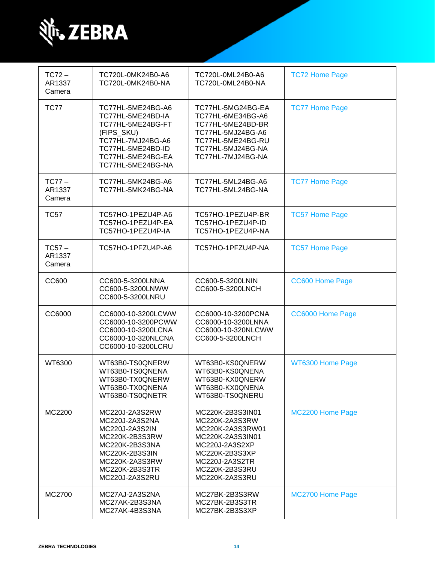

| $TC72 -$<br>AR1337<br>Camera | TC720L-0MK24B0-A6<br>TC720L-0MK24B0-NA                                                                                                                         | TC720L-0ML24B0-A6<br>TC720L-0ML24B0-NA                                                                                                                               | <b>TC72 Home Page</b>  |
|------------------------------|----------------------------------------------------------------------------------------------------------------------------------------------------------------|----------------------------------------------------------------------------------------------------------------------------------------------------------------------|------------------------|
| <b>TC77</b>                  | TC77HL-5ME24BG-A6<br>TC77HL-5ME24BD-IA<br>TC77HL-5ME24BG-FT<br>(FIPS_SKU)<br>TC77HL-7MJ24BG-A6<br>TC77HL-5ME24BD-ID<br>TC77HL-5ME24BG-EA<br>TC77HL-5ME24BG-NA  | TC77HL-5MG24BG-EA<br>TC77HL-6ME34BG-A6<br>TC77HL-5ME24BD-BR<br>TC77HL-5MJ24BG-A6<br>TC77HL-5ME24BG-RU<br>TC77HL-5MJ24BG-NA<br>TC77HL-7MJ24BG-NA                      | <b>TC77 Home Page</b>  |
| $TC77-$<br>AR1337<br>Camera  | TC77HL-5MK24BG-A6<br>TC77HL-5MK24BG-NA                                                                                                                         | TC77HL-5ML24BG-A6<br>TC77HL-5ML24BG-NA                                                                                                                               | <b>TC77 Home Page</b>  |
| <b>TC57</b>                  | TC57HO-1PEZU4P-A6<br>TC57HO-1PEZU4P-EA<br>TC57HO-1PEZU4P-IA                                                                                                    | TC57HO-1PEZU4P-BR<br>TC57HO-1PEZU4P-ID<br>TC57HO-1PEZU4P-NA                                                                                                          | <b>TC57 Home Page</b>  |
| $TC57 -$<br>AR1337<br>Camera | TC57HO-1PFZU4P-A6                                                                                                                                              | TC57HO-1PFZU4P-NA                                                                                                                                                    | <b>TC57 Home Page</b>  |
| <b>CC600</b>                 | CC600-5-3200LNNA<br>CC600-5-3200LNWW<br>CC600-5-3200LNRU                                                                                                       | CC600-5-3200LNIN<br>CC600-5-3200LNCH                                                                                                                                 | <b>CC600 Home Page</b> |
| CC6000                       | CC6000-10-3200LCWW<br>CC6000-10-3200PCWW<br>CC6000-10-3200LCNA<br>CC6000-10-320NLCNA<br>CC6000-10-3200LCRU                                                     | CC6000-10-3200PCNA<br>CC6000-10-3200LNNA<br>CC6000-10-320NLCWW<br>CC600-5-3200LNCH                                                                                   | CC6000 Home Page       |
| WT6300                       | WT63B0-TS0QNERW<br>WT63B0-TS0QNENA<br>WT63B0-TX0QNERW<br>WT63B0-TX0QNENA<br>WT63B0-TS0QNETR                                                                    | WT63B0-KS0QNERW<br>WT63B0-KS0QNENA<br>WT63B0-KX0QNERW<br>WT63B0-KX0QNENA<br>WT63B0-TS0QNERU                                                                          | WT6300 Home Page       |
| MC2200                       | MC220J-2A3S2RW<br>MC220J-2A3S2NA<br>MC220J-2A3S2IN<br>MC220K-2B3S3RW<br>MC220K-2B3S3NA<br>MC220K-2B3S3IN<br>MC220K-2A3S3RW<br>MC220K-2B3S3TR<br>MC220J-2A3S2RU | MC220K-2B3S3IN01<br>MC220K-2A3S3RW<br>MC220K-2A3S3RW01<br>MC220K-2A3S3IN01<br>MC220J-2A3S2XP<br>MC220K-2B3S3XP<br>MC220J-2A3S2TR<br>MC220K-2B3S3RU<br>MC220K-2A3S3RU | MC2200 Home Page       |
| MC2700                       | MC27AJ-2A3S2NA<br>MC27AK-2B3S3NA<br>MC27AK-4B3S3NA                                                                                                             | MC27BK-2B3S3RW<br>MC27BK-2B3S3TR<br>MC27BK-2B3S3XP                                                                                                                   | MC2700 Home Page       |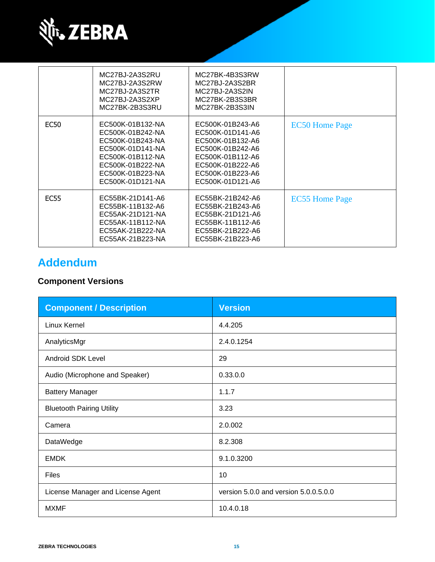

|             | MC27BJ-2A3S2RU<br>MC27BJ-2A3S2RW<br>MC27BJ-2A3S2TR<br>MC27BJ-2A3S2XP<br>MC27BK-2B3S3RU                                                                       | MC27BK-4B3S3RW<br>MC27BJ-2A3S2BR<br>MC27BJ-2A3S2IN<br>MC27BK-2B3S3BR<br>MC27BK-2B3S3IN                                                                       |                       |
|-------------|--------------------------------------------------------------------------------------------------------------------------------------------------------------|--------------------------------------------------------------------------------------------------------------------------------------------------------------|-----------------------|
| <b>EC50</b> | EC500K-01B132-NA<br>EC500K-01B242-NA<br>EC500K-01B243-NA<br>EC500K-01D141-NA<br>EC500K-01B112-NA<br>EC500K-01B222-NA<br>EC500K-01B223-NA<br>EC500K-01D121-NA | EC500K-01B243-A6<br>EC500K-01D141-A6<br>EC500K-01B132-A6<br>EC500K-01B242-A6<br>EC500K-01B112-A6<br>EC500K-01B222-A6<br>EC500K-01B223-A6<br>EC500K-01D121-A6 | <b>EC50 Home Page</b> |
| <b>EC55</b> | EC55BK-21D141-A6<br>EC55BK-11B132-A6<br>EC55AK-21D121-NA<br>EC55AK-11B112-NA<br>EC55AK-21B222-NA<br>EC55AK-21B223-NA                                         | EC55BK-21B242-A6<br>EC55BK-21B243-A6<br>EC55BK-21D121-A6<br>EC55BK-11B112-A6<br>EC55BK-21B222-A6<br>EC55BK-21B223-A6                                         | <b>EC55 Home Page</b> |

# **Addendum**

# **Component Versions**

| <b>Component / Description</b>    | <b>Version</b>                        |
|-----------------------------------|---------------------------------------|
| Linux Kernel                      | 4.4.205                               |
| AnalyticsMgr                      | 2.4.0.1254                            |
| <b>Android SDK Level</b>          | 29                                    |
| Audio (Microphone and Speaker)    | 0.33.0.0                              |
| <b>Battery Manager</b>            | 1.1.7                                 |
| <b>Bluetooth Pairing Utility</b>  | 3.23                                  |
| Camera                            | 2.0.002                               |
| DataWedge                         | 8.2.308                               |
| <b>EMDK</b>                       | 9.1.0.3200                            |
| Files                             | 10                                    |
| License Manager and License Agent | version 5.0.0 and version 5.0.0.5.0.0 |
| <b>MXMF</b>                       | 10.4.0.18                             |